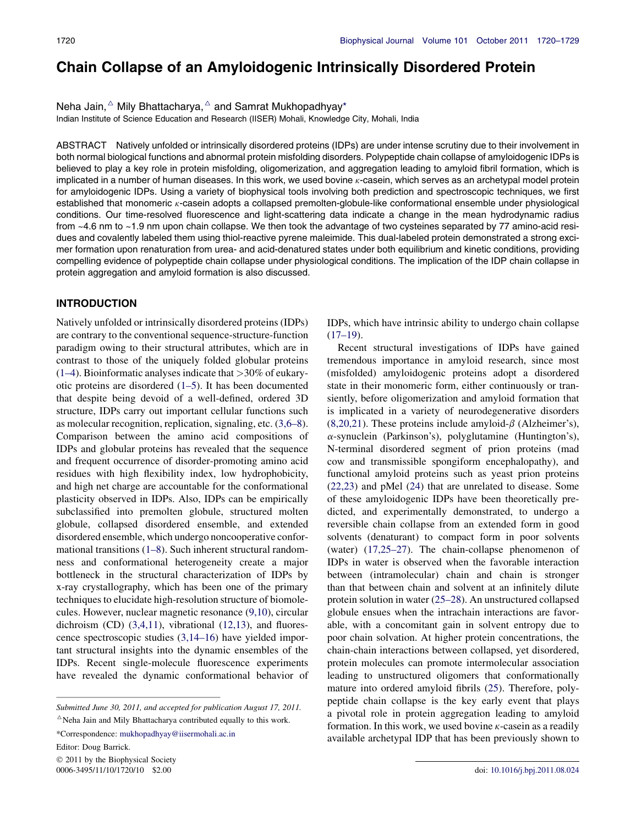# Chain Collapse of an Amyloidogenic Intrinsically Disordered Protein

Neha Jain, $\Delta$  Mily Bhattacharya,  $\Delta$  and Samrat Mukhopadhyay\*

Indian Institute of Science Education and Research (IISER) Mohali, Knowledge City, Mohali, India

ABSTRACT Natively unfolded or intrinsically disordered proteins (IDPs) are under intense scrutiny due to their involvement in both normal biological functions and abnormal protein misfolding disorders. Polypeptide chain collapse of amyloidogenic IDPs is believed to play a key role in protein misfolding, oligomerization, and aggregation leading to amyloid fibril formation, which is implicated in a number of human diseases. In this work, we used bovine  $\kappa$ -casein, which serves as an archetypal model protein for amyloidogenic IDPs. Using a variety of biophysical tools involving both prediction and spectroscopic techniques, we first established that monomeric k-casein adopts a collapsed premolten-globule-like conformational ensemble under physiological conditions. Our time-resolved fluorescence and light-scattering data indicate a change in the mean hydrodynamic radius from ~4.6 nm to ~1.9 nm upon chain collapse. We then took the advantage of two cysteines separated by 77 amino-acid residues and covalently labeled them using thiol-reactive pyrene maleimide. This dual-labeled protein demonstrated a strong excimer formation upon renaturation from urea- and acid-denatured states under both equilibrium and kinetic conditions, providing compelling evidence of polypeptide chain collapse under physiological conditions. The implication of the IDP chain collapse in protein aggregation and amyloid formation is also discussed.

## INTRODUCTION

Natively unfolded or intrinsically disordered proteins (IDPs) are contrary to the conventional sequence-structure-function paradigm owing to their structural attributes, which are in contrast to those of the uniquely folded globular proteins  $(1-4)$ . Bioinformatic analyses indicate that  $>30\%$  of eukaryotic proteins are disordered (1–5). It has been documented that despite being devoid of a well-defined, ordered 3D structure, IDPs carry out important cellular functions such as molecular recognition, replication, signaling, etc. (3,6–8). Comparison between the amino acid compositions of IDPs and globular proteins has revealed that the sequence and frequent occurrence of disorder-promoting amino acid residues with high flexibility index, low hydrophobicity, and high net charge are accountable for the conformational plasticity observed in IDPs. Also, IDPs can be empirically subclassified into premolten globule, structured molten globule, collapsed disordered ensemble, and extended disordered ensemble, which undergo noncooperative conformational transitions (1–8). Such inherent structural randomness and conformational heterogeneity create a major bottleneck in the structural characterization of IDPs by x-ray crystallography, which has been one of the primary techniques to elucidate high-resolution structure of biomolecules. However, nuclear magnetic resonance (9,10), circular dichroism (CD) (3,4,11), vibrational (12,13), and fluorescence spectroscopic studies (3,14–16) have yielded important structural insights into the dynamic ensembles of the IDPs. Recent single-molecule fluorescence experiments have revealed the dynamic conformational behavior of

Editor: Doug Barrick.

 2011 by the Biophysical Society 0006-3495/11/10/1720/10 \$2.00 doi: 10.1016/j.bpj.2011.08.024

IDPs, which have intrinsic ability to undergo chain collapse  $(17–19)$ .

Recent structural investigations of IDPs have gained tremendous importance in amyloid research, since most (misfolded) amyloidogenic proteins adopt a disordered state in their monomeric form, either continuously or transiently, before oligomerization and amyloid formation that is implicated in a variety of neurodegenerative disorders (8,20,21). These proteins include amyloid- $\beta$  (Alzheimer's),  $\alpha$ -synuclein (Parkinson's), polyglutamine (Huntington's), N-terminal disordered segment of prion proteins (mad cow and transmissible spongiform encephalopathy), and functional amyloid proteins such as yeast prion proteins (22,23) and pMel (24) that are unrelated to disease. Some of these amyloidogenic IDPs have been theoretically predicted, and experimentally demonstrated, to undergo a reversible chain collapse from an extended form in good solvents (denaturant) to compact form in poor solvents (water) (17,25–27). The chain-collapse phenomenon of IDPs in water is observed when the favorable interaction between (intramolecular) chain and chain is stronger than that between chain and solvent at an infinitely dilute protein solution in water (25–28). An unstructured collapsed globule ensues when the intrachain interactions are favorable, with a concomitant gain in solvent entropy due to poor chain solvation. At higher protein concentrations, the chain-chain interactions between collapsed, yet disordered, protein molecules can promote intermolecular association leading to unstructured oligomers that conformationally mature into ordered amyloid fibrils (25). Therefore, polypeptide chain collapse is the key early event that plays a pivotal role in protein aggregation leading to amyloid formation. In this work, we used bovine  $\kappa$ -casein as a readily available archetypal IDP that has been previously shown to

Submitted June 30, 2011, and accepted for publication August 17, 2011.  $^{\triangle}$ Neha Jain and Mily Bhattacharya contributed equally to this work.

<sup>\*</sup>Correspondence: mukhopadhyay@iisermohali.ac.in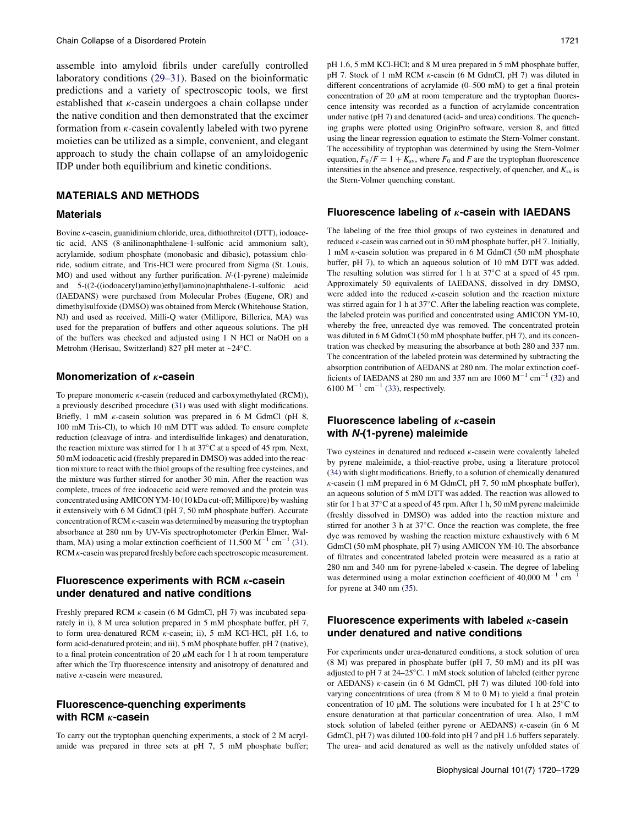assemble into amyloid fibrils under carefully controlled laboratory conditions (29–31). Based on the bioinformatic predictions and a variety of spectroscopic tools, we first established that  $\kappa$ -casein undergoes a chain collapse under the native condition and then demonstrated that the excimer formation from  $\kappa$ -casein covalently labeled with two pyrene moieties can be utilized as a simple, convenient, and elegant approach to study the chain collapse of an amyloidogenic IDP under both equilibrium and kinetic conditions.

# MATERIALS AND METHODS

#### **Materials**

Bovine  $\kappa$ -casein, guanidinium chloride, urea, dithiothreitol (DTT), iodoacetic acid, ANS (8-anilinonaphthalene-1-sulfonic acid ammonium salt), acrylamide, sodium phosphate (monobasic and dibasic), potassium chloride, sodium citrate, and Tris-HCl were procured from Sigma (St. Louis, MO) and used without any further purification. N-(1-pyrene) maleimide and 5-((2-((iodoacetyl)amino)ethyl)amino)naphthalene-1-sulfonic acid (IAEDANS) were purchased from Molecular Probes (Eugene, OR) and dimethylsulfoxide (DMSO) was obtained from Merck (Whitehouse Station, NJ) and used as received. Milli-Q water (Millipore, Billerica, MA) was used for the preparation of buffers and other aqueous solutions. The pH of the buffers was checked and adjusted using 1 N HCl or NaOH on a Metrohm (Herisau, Switzerland) 827 pH meter at ~24°C.

#### Monomerization of  $\kappa$ -casein

To prepare monomeric  $\kappa$ -casein (reduced and carboxymethylated (RCM)), a previously described procedure (31) was used with slight modifications. Briefly, 1 mM  $\kappa$ -casein solution was prepared in 6 M GdmCl (pH 8, 100 mM Tris-Cl), to which 10 mM DTT was added. To ensure complete reduction (cleavage of intra- and interdisulfide linkages) and denaturation, the reaction mixture was stirred for 1 h at  $37^{\circ}$ C at a speed of 45 rpm. Next, 50 mM iodoacetic acid (freshly prepared in DMSO) was added into the reaction mixture to react with the thiol groups of the resulting free cysteines, and the mixture was further stirred for another 30 min. After the reaction was complete, traces of free iodoacetic acid were removed and the protein was concentrated using AMICON YM-10 (10 kDa cut-off; Millipore) by washing it extensively with 6 M GdmCl (pH 7, 50 mM phosphate buffer). Accurate concentration of RCM  $\kappa$ -casein was determined by measuring the tryptophan absorbance at 280 nm by UV-Vis spectrophotometer (Perkin Elmer, Waltham, MA) using a molar extinction coefficient of 11,500  $M^{-1}$  cm<sup>-1</sup> (31). RCM  $\kappa$ -casein was prepared freshly before each spectroscopic measurement.

# Fluorescence experiments with RCM  $\kappa$ -casein under denatured and native conditions

Freshly prepared RCM  $\kappa$ -casein (6 M GdmCl, pH 7) was incubated separately in i), 8 M urea solution prepared in 5 mM phosphate buffer, pH 7, to form urea-denatured RCM k-casein; ii), 5 mM KCl-HCl, pH 1.6, to form acid-denatured protein; and iii), 5 mM phosphate buffer, pH 7 (native), to a final protein concentration of 20  $\mu$ M each for 1 h at room temperature after which the Trp fluorescence intensity and anisotropy of denatured and native k-casein were measured.

# Fluorescence-quenching experiments with RCM  $\kappa$ -casein

To carry out the tryptophan quenching experiments, a stock of 2 M acrylamide was prepared in three sets at pH 7, 5 mM phosphate buffer; pH 1.6, 5 mM KCl-HCl; and 8 M urea prepared in 5 mM phosphate buffer, pH 7. Stock of 1 mM RCM  $\kappa$ -casein (6 M GdmCl, pH 7) was diluted in different concentrations of acrylamide (0–500 mM) to get a final protein concentration of 20  $\mu$ M at room temperature and the tryptophan fluorescence intensity was recorded as a function of acrylamide concentration under native (pH 7) and denatured (acid- and urea) conditions. The quenching graphs were plotted using OriginPro software, version 8, and fitted using the linear regression equation to estimate the Stern-Volmer constant. The accessibility of tryptophan was determined by using the Stern-Volmer equation,  $F_0/F = 1 + K_{sv}$ , where  $F_0$  and F are the tryptophan fluorescence intensities in the absence and presence, respectively, of quencher, and  $K_{\rm sv}$  is the Stern-Volmer quenching constant.

#### Fluorescence labeling of  $\kappa$ -casein with IAEDANS

The labeling of the free thiol groups of two cysteines in denatured and reduced k-casein was carried out in 50 mM phosphate buffer, pH 7. Initially, 1 mM k-casein solution was prepared in 6 M GdmCl (50 mM phosphate buffer, pH 7), to which an aqueous solution of 10 mM DTT was added. The resulting solution was stirred for 1 h at  $37^{\circ}$ C at a speed of 45 rpm. Approximately 50 equivalents of IAEDANS, dissolved in dry DMSO, were added into the reduced  $\kappa$ -casein solution and the reaction mixture was stirred again for 1 h at 37°C. After the labeling reaction was complete, the labeled protein was purified and concentrated using AMICON YM-10, whereby the free, unreacted dye was removed. The concentrated protein was diluted in 6 M GdmCl (50 mM phosphate buffer, pH 7), and its concentration was checked by measuring the absorbance at both 280 and 337 nm. The concentration of the labeled protein was determined by subtracting the absorption contribution of AEDANS at 280 nm. The molar extinction coefficients of IAEDANS at 280 nm and 337 nm are 1060  $M^{-1}$  cm<sup>-1</sup> (32) and 6100  $M^{-1}$  cm<sup>-1</sup> (33), respectively.

# Fluorescence labeling of  $\kappa$ -casein with N-(1-pyrene) maleimide

Two cysteines in denatured and reduced  $\kappa$ -casein were covalently labeled by pyrene maleimide, a thiol-reactive probe, using a literature protocol (34) with slight modifications. Briefly, to a solution of chemically denatured  $\kappa$ -casein (1 mM prepared in 6 M GdmCl, pH 7, 50 mM phosphate buffer), an aqueous solution of 5 mM DTT was added. The reaction was allowed to stir for 1 h at  $37^{\circ}$ C at a speed of 45 rpm. After 1 h, 50 mM pyrene maleimide (freshly dissolved in DMSO) was added into the reaction mixture and stirred for another 3 h at  $37^{\circ}$ C. Once the reaction was complete, the free dye was removed by washing the reaction mixture exhaustively with 6 M GdmCl (50 mM phosphate, pH 7) using AMICON YM-10. The absorbance of filtrates and concentrated labeled protein were measured as a ratio at 280 nm and 340 nm for pyrene-labeled  $\kappa$ -casein. The degree of labeling was determined using a molar extinction coefficient of 40,000  $M^{-1}$  cm<sup>-1</sup> for pyrene at 340 nm (35).

# Fluorescence experiments with labeled  $\kappa$ -casein under denatured and native conditions

For experiments under urea-denatured conditions, a stock solution of urea (8 M) was prepared in phosphate buffer (pH 7, 50 mM) and its pH was adjusted to pH 7 at  $24-25^{\circ}$ C. 1 mM stock solution of labeled (either pyrene or AEDANS)  $\kappa$ -casein (in 6 M GdmCl, pH 7) was diluted 100-fold into varying concentrations of urea (from 8 M to 0 M) to yield a final protein concentration of 10  $\mu$ M. The solutions were incubated for 1 h at 25°C to ensure denaturation at that particular concentration of urea. Also, 1 mM stock solution of labeled (either pyrene or AEDANS)  $\kappa$ -casein (in 6 M GdmCl, pH 7) was diluted 100-fold into pH 7 and pH 1.6 buffers separately. The urea- and acid denatured as well as the natively unfolded states of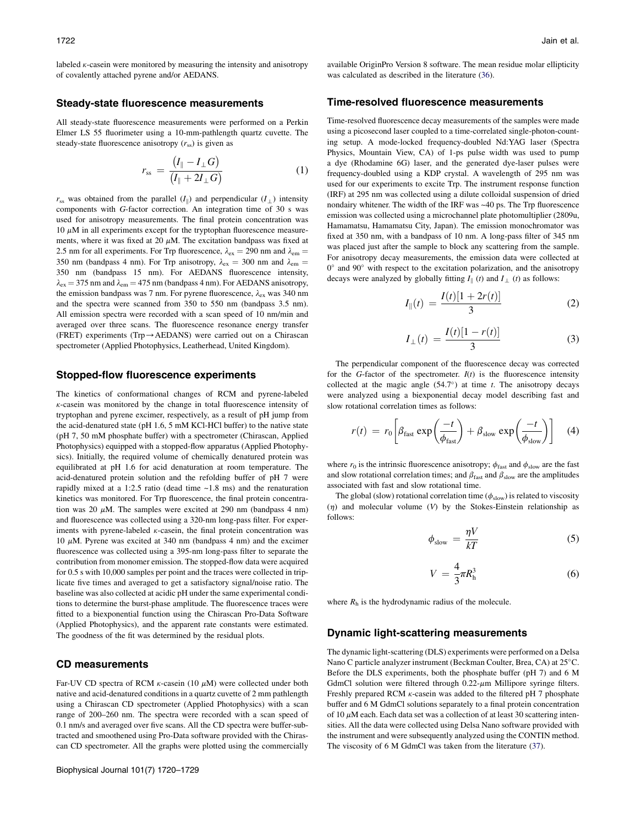labeled  $\kappa$ -casein were monitored by measuring the intensity and anisotropy of covalently attached pyrene and/or AEDANS.

#### Steady-state fluorescence measurements

All steady-state fluorescence measurements were performed on a Perkin Elmer LS 55 fluorimeter using a 10-mm-pathlength quartz cuvette. The steady-state fluorescence anisotropy  $(r_{ss})$  is given as

$$
r_{\rm ss} = \frac{(I_{\parallel} - I_{\perp}G)}{(I_{\parallel} + 2I_{\perp}G)}\tag{1}
$$

 $r_{ss}$  was obtained from the parallel  $(I_{\parallel})$  and perpendicular  $(I_{\perp})$  intensity components with G-factor correction. An integration time of 30 s was used for anisotropy measurements. The final protein concentration was  $10 \mu$ M in all experiments except for the tryptophan fluorescence measurements, where it was fixed at 20  $\mu$ M. The excitation bandpass was fixed at 2.5 nm for all experiments. For Trp fluorescence,  $\lambda_{\text{ex}} = 290$  nm and  $\lambda_{\text{em}} =$ 350 nm (bandpass 4 nm). For Trp anisotropy,  $\lambda_{ex} = 300$  nm and  $\lambda_{em} =$ 350 nm (bandpass 15 nm). For AEDANS fluorescence intensity,  $\lambda_{\rm ex}$  = 375 nm and  $\lambda_{\rm em}$  = 475 nm (bandpass 4 nm). For AEDANS anisotropy, the emission bandpass was 7 nm. For pyrene fluorescence,  $\lambda_{ex}$  was 340 nm and the spectra were scanned from 350 to 550 nm (bandpass 3.5 nm). All emission spectra were recorded with a scan speed of 10 nm/min and averaged over three scans. The fluorescence resonance energy transfer (FRET) experiments (Trp $\rightarrow$ AEDANS) were carried out on a Chirascan spectrometer (Applied Photophysics, Leatherhead, United Kingdom).

#### Stopped-flow fluorescence experiments

The kinetics of conformational changes of RCM and pyrene-labeled  $\kappa$ -casein was monitored by the change in total fluorescence intensity of tryptophan and pyrene excimer, respectively, as a result of pH jump from the acid-denatured state (pH 1.6, 5 mM KCl-HCl buffer) to the native state (pH 7, 50 mM phosphate buffer) with a spectrometer (Chirascan, Applied Photophysics) equipped with a stopped-flow apparatus (Applied Photophysics). Initially, the required volume of chemically denatured protein was equilibrated at pH 1.6 for acid denaturation at room temperature. The acid-denatured protein solution and the refolding buffer of pH 7 were rapidly mixed at a 1:2.5 ratio (dead time  $~1.8$  ms) and the renaturation kinetics was monitored. For Trp fluorescence, the final protein concentration was 20  $\mu$ M. The samples were excited at 290 nm (bandpass 4 nm) and fluorescence was collected using a 320-nm long-pass filter. For experiments with pyrene-labeled  $\kappa$ -casein, the final protein concentration was 10  $\mu$ M. Pyrene was excited at 340 nm (bandpass 4 nm) and the excimer fluorescence was collected using a 395-nm long-pass filter to separate the contribution from monomer emission. The stopped-flow data were acquired for 0.5 s with 10,000 samples per point and the traces were collected in triplicate five times and averaged to get a satisfactory signal/noise ratio. The baseline was also collected at acidic pH under the same experimental conditions to determine the burst-phase amplitude. The fluorescence traces were fitted to a biexponential function using the Chirascan Pro-Data Software (Applied Photophysics), and the apparent rate constants were estimated. The goodness of the fit was determined by the residual plots.

#### CD measurements

Far-UV CD spectra of RCM  $\kappa$ -casein (10  $\mu$ M) were collected under both native and acid-denatured conditions in a quartz cuvette of 2 mm pathlength using a Chirascan CD spectrometer (Applied Photophysics) with a scan range of 200–260 nm. The spectra were recorded with a scan speed of 0.1 nm/s and averaged over five scans. All the CD spectra were buffer-subtracted and smoothened using Pro-Data software provided with the Chirascan CD spectrometer. All the graphs were plotted using the commercially available OriginPro Version 8 software. The mean residue molar ellipticity was calculated as described in the literature (36).

#### Time-resolved fluorescence measurements

Time-resolved fluorescence decay measurements of the samples were made using a picosecond laser coupled to a time-correlated single-photon-counting setup. A mode-locked frequency-doubled Nd:YAG laser (Spectra Physics, Mountain View, CA) of 1-ps pulse width was used to pump a dye (Rhodamine 6G) laser, and the generated dye-laser pulses were frequency-doubled using a KDP crystal. A wavelength of 295 nm was used for our experiments to excite Trp. The instrument response function (IRF) at 295 nm was collected using a dilute colloidal suspension of dried nondairy whitener. The width of the IRF was ~40 ps. The Trp fluorescence emission was collected using a microchannel plate photomultiplier (2809u, Hamamatsu, Hamamatsu City, Japan). The emission monochromator was fixed at 350 nm, with a bandpass of 10 nm. A long-pass filter of 345 nm was placed just after the sample to block any scattering from the sample. For anisotropy decay measurements, the emission data were collected at 0° and 90° with respect to the excitation polarization, and the anisotropy decays were analyzed by globally fitting  $I_{\parallel}$  (*t*) and  $I_{\perp}$  (*t*) as follows:

$$
I_{\parallel}(t) = \frac{I(t)[1 + 2r(t)]}{3}
$$
 (2)

$$
I_{\perp}(t) = \frac{I(t)[1 - r(t)]}{3}
$$
 (3)

The perpendicular component of the fluorescence decay was corrected for the G-factor of the spectrometer.  $I(t)$  is the fluorescence intensity collected at the magic angle  $(54.7^{\circ})$  at time t. The anisotropy decays were analyzed using a biexponential decay model describing fast and slow rotational correlation times as follows:

$$
r(t) = r_0 \left[ \beta_{\text{fast}} \exp\left(\frac{-t}{\phi_{\text{fast}}} \right) + \beta_{\text{slow}} \exp\left(\frac{-t}{\phi_{\text{slow}}} \right) \right]
$$
 (4)

where  $r_0$  is the intrinsic fluorescence anisotropy;  $\phi_{\text{fast}}$  and  $\phi_{\text{slow}}$  are the fast and slow rotational correlation times; and  $\beta_{\text{fast}}$  and  $\beta_{\text{slow}}$  are the amplitudes associated with fast and slow rotational time.

The global (slow) rotational correlation time ( $\phi_{slow}$ ) is related to viscosity  $(n)$  and molecular volume (V) by the Stokes-Einstein relationship as follows:

$$
\phi_{\text{slow}} = \frac{\eta V}{kT} \tag{5}
$$

$$
V = \frac{4}{3}\pi R_h^3 \tag{6}
$$

where  $R<sub>h</sub>$  is the hydrodynamic radius of the molecule.

#### Dynamic light-scattering measurements

The dynamic light-scattering (DLS) experiments were performed on a Delsa Nano C particle analyzer instrument (Beckman Coulter, Brea, CA) at 25°C. Before the DLS experiments, both the phosphate buffer (pH 7) and 6 M GdmCl solution were filtered through  $0.22$ - $\mu$ m Millipore syringe filters. Freshly prepared RCM  $\kappa$ -casein was added to the filtered pH 7 phosphate buffer and 6 M GdmCl solutions separately to a final protein concentration of 10  $\mu$ M each. Each data set was a collection of at least 30 scattering intensities. All the data were collected using Delsa Nano software provided with the instrument and were subsequently analyzed using the CONTIN method. The viscosity of 6 M GdmCl was taken from the literature (37).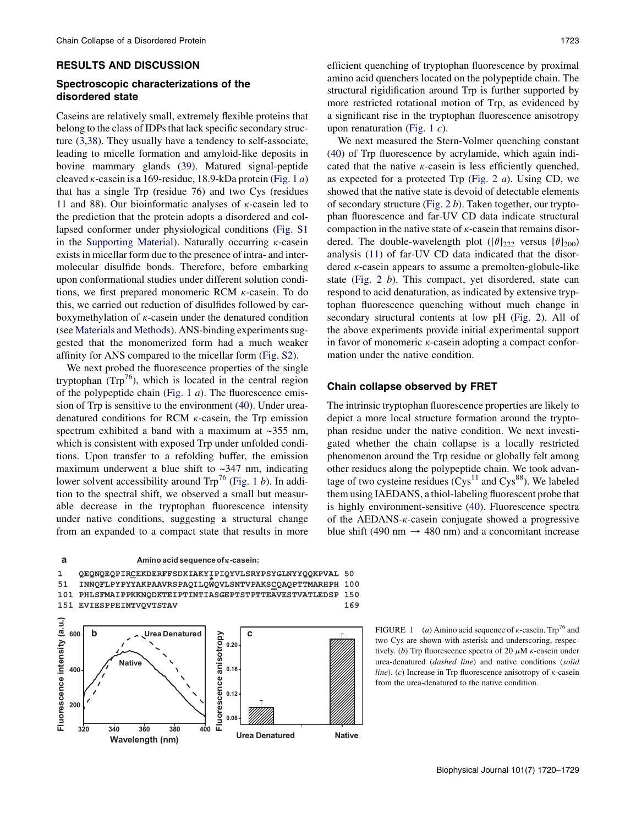#### RESULTS AND DISCUSSION

# Spectroscopic characterizations of the disordered state

Caseins are relatively small, extremely flexible proteins that belong to the class of IDPs that lack specific secondary structure (3,38). They usually have a tendency to self-associate, leading to micelle formation and amyloid-like deposits in bovine mammary glands (39). Matured signal-peptide cleaved  $\kappa$ -casein is a 169-residue, 18.9-kDa protein (Fig. 1 a) that has a single Trp (residue 76) and two Cys (residues 11 and 88). Our bioinformatic analyses of  $\kappa$ -casein led to the prediction that the protein adopts a disordered and collapsed conformer under physiological conditions (Fig. S1 in the Supporting Material). Naturally occurring  $\kappa$ -casein exists in micellar form due to the presence of intra- and intermolecular disulfide bonds. Therefore, before embarking upon conformational studies under different solution conditions, we first prepared monomeric RCM  $\kappa$ -casein. To do this, we carried out reduction of disulfides followed by carboxymethylation of  $\kappa$ -casein under the denatured condition (see Materials and Methods). ANS-binding experiments suggested that the monomerized form had a much weaker affinity for ANS compared to the micellar form (Fig. S2).

We next probed the fluorescence properties of the single tryptophan  $(Trp^{76})$ , which is located in the central region of the polypeptide chain (Fig. 1  $a$ ). The fluorescence emission of Trp is sensitive to the environment (40). Under ureadenatured conditions for RCM  $\kappa$ -casein, the Trp emission spectrum exhibited a band with a maximum at  $\sim$ 355 nm, which is consistent with exposed Trp under unfolded conditions. Upon transfer to a refolding buffer, the emission maximum underwent a blue shift to  $\sim$ 347 nm, indicating lower solvent accessibility around  $\text{Trp}^{76}$  (Fig. 1 b). In addition to the spectral shift, we observed a small but measurable decrease in the tryptophan fluorescence intensity under native conditions, suggesting a structural change from an expanded to a compact state that results in more



efficient quenching of tryptophan fluorescence by proximal amino acid quenchers located on the polypeptide chain. The structural rigidification around Trp is further supported by more restricted rotational motion of Trp, as evidenced by a significant rise in the tryptophan fluorescence anisotropy upon renaturation (Fig. 1 $c$ ).

We next measured the Stern-Volmer quenching constant (40) of Trp fluorescence by acrylamide, which again indicated that the native  $\kappa$ -casein is less efficiently quenched, as expected for a protected Trp (Fig. 2  $a$ ). Using CD, we showed that the native state is devoid of detectable elements of secondary structure (Fig. 2 b). Taken together, our tryptophan fluorescence and far-UV CD data indicate structural compaction in the native state of  $\kappa$ -casein that remains disordered. The double-wavelength plot ( $[\theta]_{222}$  versus  $[\theta]_{200}$ ) analysis (11) of far-UV CD data indicated that the disordered  $\kappa$ -casein appears to assume a premolten-globule-like state (Fig. 2 b). This compact, yet disordered, state can respond to acid denaturation, as indicated by extensive tryptophan fluorescence quenching without much change in secondary structural contents at low pH (Fig. 2). All of the above experiments provide initial experimental support in favor of monomeric  $\kappa$ -casein adopting a compact conformation under the native condition.

#### Chain collapse observed by FRET

The intrinsic tryptophan fluorescence properties are likely to depict a more local structure formation around the tryptophan residue under the native condition. We next investigated whether the chain collapse is a locally restricted phenomenon around the Trp residue or globally felt among other residues along the polypeptide chain. We took advantage of two cysteine residues  $(Cys<sup>11</sup>$  and  $Cys<sup>88</sup>$ ). We labeled them using IAEDANS, a thiol-labeling fluorescent probe that is highly environment-sensitive (40). Fluorescence spectra of the AEDANS-k-casein conjugate showed a progressive blue shift (490 nm  $\rightarrow$  480 nm) and a concomitant increase

FIGURE 1 (a) Amino acid sequence of  $\kappa$ -casein. Trp<sup>76</sup> and two Cys are shown with asterisk and underscoring, respectively. (b) Trp fluorescence spectra of 20  $\mu$ M  $\kappa$ -casein under urea-denatured (dashed line) and native conditions (solid line). (c) Increase in Trp fluorescence anisotropy of  $\kappa$ -casein from the urea-denatured to the native condition.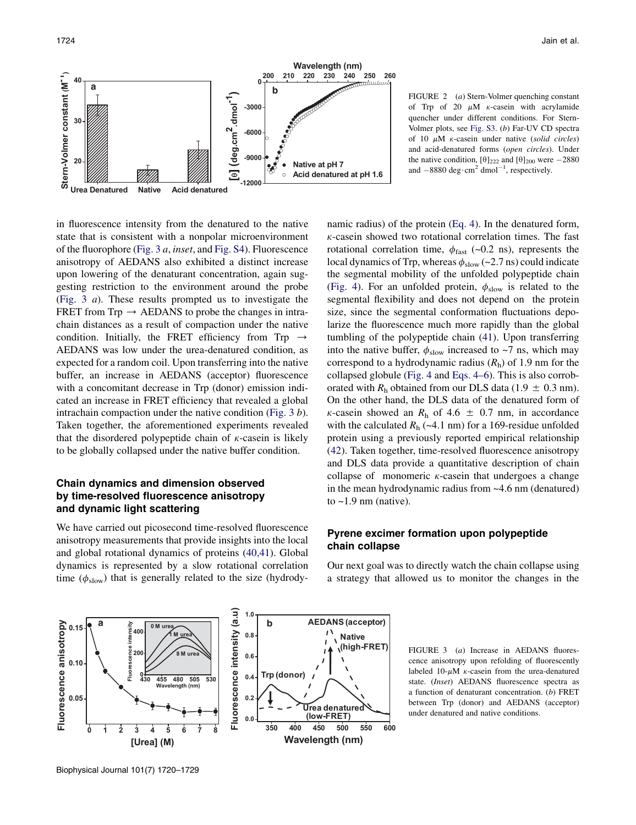

FIGURE 2 (a) Stern-Volmer quenching constant of Trp of 20  $\mu$ M  $\kappa$ -casein with acrylamide quencher under different conditions. For Stern-Volmer plots, see Fig. S3. (b) Far-UV CD spectra of 10  $\mu$ M  $\kappa$ -casein under native (solid circles) and acid-denatured forms (open circles). Under the native condition,  $[\theta]_{222}$  and  $[\theta]_{200}$  were  $-2880$ and  $-8880 \text{ deg}\cdot \text{cm}^2 \text{ dmol}^{-1}$ , respectively.

in fluorescence intensity from the denatured to the native state that is consistent with a nonpolar microenvironment of the fluorophore (Fig. 3 a, inset, and Fig. S4). Fluorescence anisotropy of AEDANS also exhibited a distinct increase upon lowering of the denaturant concentration, again suggesting restriction to the environment around the probe (Fig. 3 a). These results prompted us to investigate the FRET from  $Trp \rightarrow AEDANS$  to probe the changes in intrachain distances as a result of compaction under the native condition. Initially, the FRET efficiency from Trp  $\rightarrow$ AEDANS was low under the urea-denatured condition, as expected for a random coil. Upon transferring into the native buffer, an increase in AEDANS (acceptor) fluorescence with a concomitant decrease in Trp (donor) emission indicated an increase in FRET efficiency that revealed a global intrachain compaction under the native condition (Fig. 3 b). Taken together, the aforementioned experiments revealed that the disordered polypeptide chain of  $\kappa$ -casein is likely to be globally collapsed under the native buffer condition.

# Chain dynamics and dimension observed by time-resolved fluorescence anisotropy and dynamic light scattering

We have carried out picosecond time-resolved fluorescence anisotropy measurements that provide insights into the local and global rotational dynamics of proteins (40,41). Global dynamics is represented by a slow rotational correlation time ( $\phi_{slow}$ ) that is generally related to the size (hydrodynamic radius) of the protein (Eq. 4). In the denatured form,  $\kappa$ -casein showed two rotational correlation times. The fast rotational correlation time,  $\phi_{\text{fast}}$  (~0.2 ns), represents the local dynamics of Trp, whereas  $\phi_{slow}$  (~2.7 ns) could indicate the segmental mobility of the unfolded polypeptide chain (Fig. 4). For an unfolded protein,  $\phi_{slow}$  is related to the segmental flexibility and does not depend on the protein size, since the segmental conformation fluctuations depolarize the fluorescence much more rapidly than the global tumbling of the polypeptide chain (41). Upon transferring into the native buffer,  $\phi_{slow}$  increased to ~7 ns, which may correspond to a hydrodynamic radius  $(R<sub>h</sub>)$  of 1.9 nm for the collapsed globule (Fig. 4 and Eqs. 4–6). This is also corroborated with  $R_h$  obtained from our DLS data (1.9  $\pm$  0.3 nm). On the other hand, the DLS data of the denatured form of  $\kappa$ -casein showed an  $R_h$  of 4.6  $\pm$  0.7 nm, in accordance with the calculated  $R_h$  (~4.1 nm) for a 169-residue unfolded protein using a previously reported empirical relationship (42). Taken together, time-resolved fluorescence anisotropy and DLS data provide a quantitative description of chain collapse of monomeric  $\kappa$ -casein that undergoes a change in the mean hydrodynamic radius from ~4.6 nm (denatured) to  $\sim$ 1.9 nm (native).

## Pyrene excimer formation upon polypeptide chain collapse

Our next goal was to directly watch the chain collapse using a strategy that allowed us to monitor the changes in the



FIGURE 3 (a) Increase in AEDANS fluorescence anisotropy upon refolding of fluorescently labeled 10- $\mu$ M  $\kappa$ -casein from the urea-denatured state. (Inset) AEDANS fluorescence spectra as a function of denaturant concentration. (b) FRET between Trp (donor) and AEDANS (acceptor) under denatured and native conditions.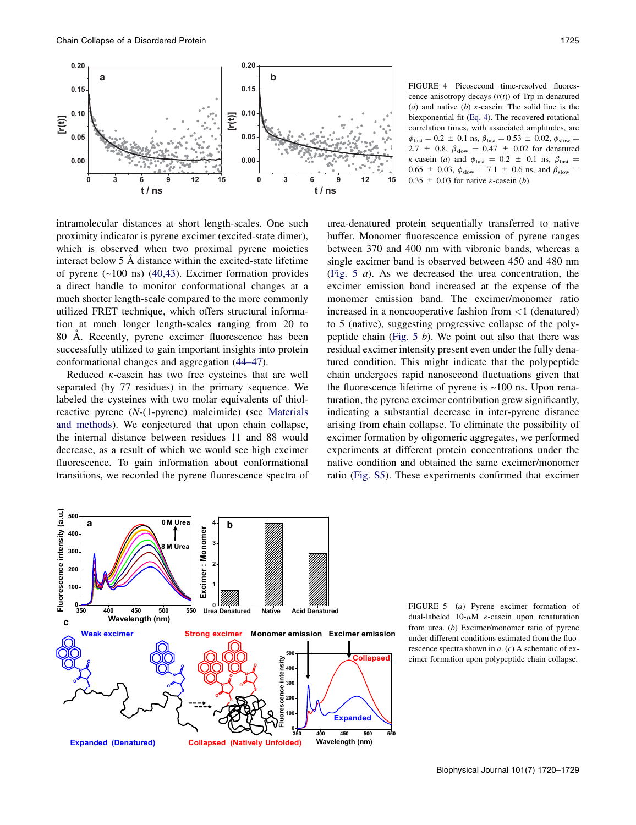

FIGURE 4 Picosecond time-resolved fluorescence anisotropy decays  $(r(t))$  of Trp in denatured (a) and native (b)  $\kappa$ -casein. The solid line is the biexponential fit (Eq. 4). The recovered rotational correlation times, with associated amplitudes, are  $\phi_{\text{fast}} = 0.2 \pm 0.1 \text{ ns}, \beta_{\text{fast}} = 0.53 \pm 0.02, \phi_{\text{slow}} =$ 2.7  $\pm$  0.8,  $\beta_{slow}$  = 0.47  $\pm$  0.02 for denatured  $\kappa$ -casein (*a*) and  $\phi_{\text{fast}} = 0.2 \pm 0.1$  ns,  $\beta_{\text{fast}} =$  $0.65 \pm 0.03$ ,  $\phi_{slow} = 7.1 \pm 0.6$  ns, and  $\beta_{slow} =$  $0.35 \pm 0.03$  for native *k*-casein (*b*).

intramolecular distances at short length-scales. One such proximity indicator is pyrene excimer (excited-state dimer), which is observed when two proximal pyrene moieties interact below  $5 \text{ Å}$  distance within the excited-state lifetime of pyrene (~100 ns) (40,43). Excimer formation provides a direct handle to monitor conformational changes at a much shorter length-scale compared to the more commonly utilized FRET technique, which offers structural information at much longer length-scales ranging from 20 to 80 A. Recently, pyrene excimer fluorescence has been successfully utilized to gain important insights into protein conformational changes and aggregation (44–47).

Reduced  $\kappa$ -casein has two free cysteines that are well separated (by 77 residues) in the primary sequence. We labeled the cysteines with two molar equivalents of thiolreactive pyrene (N-(1-pyrene) maleimide) (see Materials and methods). We conjectured that upon chain collapse, the internal distance between residues 11 and 88 would decrease, as a result of which we would see high excimer fluorescence. To gain information about conformational transitions, we recorded the pyrene fluorescence spectra of urea-denatured protein sequentially transferred to native buffer. Monomer fluorescence emission of pyrene ranges between 370 and 400 nm with vibronic bands, whereas a single excimer band is observed between 450 and 480 nm (Fig. 5 a). As we decreased the urea concentration, the excimer emission band increased at the expense of the monomer emission band. The excimer/monomer ratio increased in a noncooperative fashion from <1 (denatured) to 5 (native), suggesting progressive collapse of the polypeptide chain (Fig.  $5 b$ ). We point out also that there was residual excimer intensity present even under the fully denatured condition. This might indicate that the polypeptide chain undergoes rapid nanosecond fluctuations given that the fluorescence lifetime of pyrene is  $\sim 100$  ns. Upon renaturation, the pyrene excimer contribution grew significantly, indicating a substantial decrease in inter-pyrene distance arising from chain collapse. To eliminate the possibility of excimer formation by oligomeric aggregates, we performed experiments at different protein concentrations under the native condition and obtained the same excimer/monomer ratio (Fig. S5). These experiments confirmed that excimer



FIGURE 5 (a) Pyrene excimer formation of dual-labeled 10- $\mu$ M  $\kappa$ -casein upon renaturation from urea. (b) Excimer/monomer ratio of pyrene under different conditions estimated from the fluorescence spectra shown in  $a$ . (c) A schematic of excimer formation upon polypeptide chain collapse.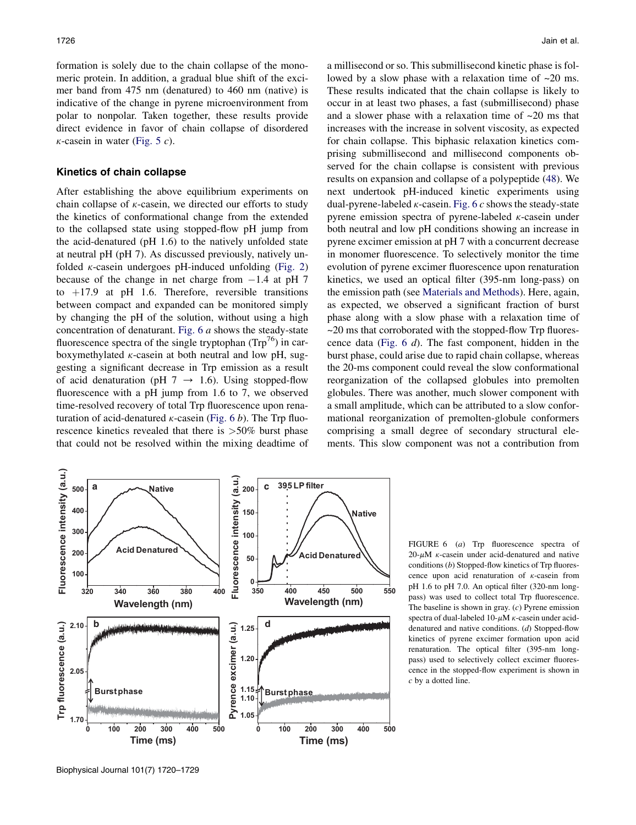formation is solely due to the chain collapse of the monomeric protein. In addition, a gradual blue shift of the excimer band from 475 nm (denatured) to 460 nm (native) is indicative of the change in pyrene microenvironment from polar to nonpolar. Taken together, these results provide direct evidence in favor of chain collapse of disordered  $\kappa$ -casein in water (Fig. 5 c).

#### Kinetics of chain collapse

After establishing the above equilibrium experiments on chain collapse of  $\kappa$ -casein, we directed our efforts to study the kinetics of conformational change from the extended to the collapsed state using stopped-flow pH jump from the acid-denatured (pH 1.6) to the natively unfolded state at neutral pH (pH 7). As discussed previously, natively unfolded  $\kappa$ -casein undergoes pH-induced unfolding (Fig. 2) because of the change in net charge from  $-1.4$  at pH 7 to  $+17.9$  at pH 1.6. Therefore, reversible transitions between compact and expanded can be monitored simply by changing the pH of the solution, without using a high concentration of denaturant. Fig. 6 a shows the steady-state fluorescence spectra of the single tryptophan  $(Trp^{76})$  in carboxymethylated  $\kappa$ -casein at both neutral and low pH, suggesting a significant decrease in Trp emission as a result of acid denaturation (pH  $7 \rightarrow 1.6$ ). Using stopped-flow fluorescence with a pH jump from 1.6 to 7, we observed time-resolved recovery of total Trp fluorescence upon renaturation of acid-denatured  $\kappa$ -casein (Fig. 6 b). The Trp fluorescence kinetics revealed that there is >50% burst phase that could not be resolved within the mixing deadtime of a millisecond or so. This submillisecond kinetic phase is followed by a slow phase with a relaxation time of ~20 ms. These results indicated that the chain collapse is likely to occur in at least two phases, a fast (submillisecond) phase and a slower phase with a relaxation time of ~20 ms that increases with the increase in solvent viscosity, as expected for chain collapse. This biphasic relaxation kinetics comprising submillisecond and millisecond components observed for the chain collapse is consistent with previous results on expansion and collapse of a polypeptide (48). We next undertook pH-induced kinetic experiments using dual-pyrene-labeled  $\kappa$ -casein. Fig. 6  $c$  shows the steady-state pyrene emission spectra of pyrene-labeled  $\kappa$ -casein under both neutral and low pH conditions showing an increase in pyrene excimer emission at pH 7 with a concurrent decrease in monomer fluorescence. To selectively monitor the time evolution of pyrene excimer fluorescence upon renaturation kinetics, we used an optical filter (395-nm long-pass) on the emission path (see Materials and Methods). Here, again, as expected, we observed a significant fraction of burst phase along with a slow phase with a relaxation time of  $\sim$ 20 ms that corroborated with the stopped-flow Trp fluorescence data (Fig. 6 d). The fast component, hidden in the burst phase, could arise due to rapid chain collapse, whereas the 20-ms component could reveal the slow conformational reorganization of the collapsed globules into premolten globules. There was another, much slower component with a small amplitude, which can be attributed to a slow conformational reorganization of premolten-globule conformers comprising a small degree of secondary structural elements. This slow component was not a contribution from



FIGURE 6 (a) Trp fluorescence spectra of  $20-\mu M$   $\kappa$ -casein under acid-denatured and native conditions (b) Stopped-flow kinetics of Trp fluorescence upon acid renaturation of  $\kappa$ -casein from pH 1.6 to pH 7.0. An optical filter (320-nm longpass) was used to collect total Trp fluorescence. The baseline is shown in gray.  $(c)$  Pyrene emission spectra of dual-labeled  $10-\mu M$   $\kappa$ -casein under aciddenatured and native conditions. (d) Stopped-flow kinetics of pyrene excimer formation upon acid renaturation. The optical filter (395-nm longpass) used to selectively collect excimer fluorescence in the stopped-flow experiment is shown in c by a dotted line.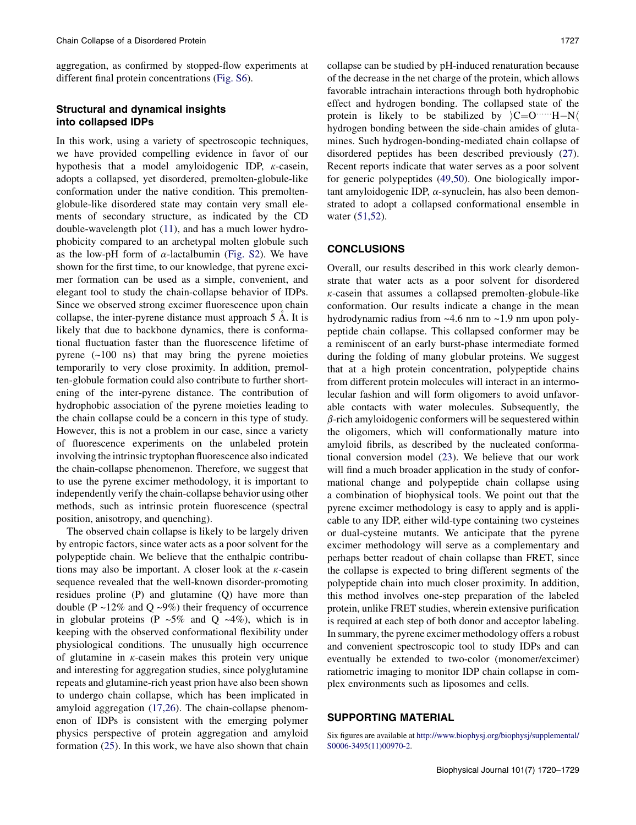aggregation, as confirmed by stopped-flow experiments at different final protein concentrations (Fig. S6).

## Structural and dynamical insights into collapsed IDPs

In this work, using a variety of spectroscopic techniques, we have provided compelling evidence in favor of our hypothesis that a model amyloidogenic IDP,  $\kappa$ -casein, adopts a collapsed, yet disordered, premolten-globule-like conformation under the native condition. This premoltenglobule-like disordered state may contain very small elements of secondary structure, as indicated by the CD double-wavelength plot (11), and has a much lower hydrophobicity compared to an archetypal molten globule such as the low-pH form of  $\alpha$ -lactalbumin (Fig. S2). We have shown for the first time, to our knowledge, that pyrene excimer formation can be used as a simple, convenient, and elegant tool to study the chain-collapse behavior of IDPs. Since we observed strong excimer fluorescence upon chain collapse, the inter-pyrene distance must approach  $5 \text{ Å}$ . It is likely that due to backbone dynamics, there is conformational fluctuation faster than the fluorescence lifetime of pyrene  $(-100 \text{ ns})$  that may bring the pyrene moieties temporarily to very close proximity. In addition, premolten-globule formation could also contribute to further shortening of the inter-pyrene distance. The contribution of hydrophobic association of the pyrene moieties leading to the chain collapse could be a concern in this type of study. However, this is not a problem in our case, since a variety of fluorescence experiments on the unlabeled protein involving the intrinsic tryptophan fluorescence also indicated the chain-collapse phenomenon. Therefore, we suggest that to use the pyrene excimer methodology, it is important to independently verify the chain-collapse behavior using other methods, such as intrinsic protein fluorescence (spectral position, anisotropy, and quenching).

The observed chain collapse is likely to be largely driven by entropic factors, since water acts as a poor solvent for the polypeptide chain. We believe that the enthalpic contributions may also be important. A closer look at the  $\kappa$ -casein sequence revealed that the well-known disorder-promoting residues proline (P) and glutamine (Q) have more than double (P  $\sim$ 12% and Q  $\sim$ 9%) their frequency of occurrence in globular proteins (P  $~5\%$  and Q  $~4\%$ ), which is in keeping with the observed conformational flexibility under physiological conditions. The unusually high occurrence of glutamine in  $\kappa$ -casein makes this protein very unique and interesting for aggregation studies, since polyglutamine repeats and glutamine-rich yeast prion have also been shown to undergo chain collapse, which has been implicated in amyloid aggregation (17,26). The chain-collapse phenomenon of IDPs is consistent with the emerging polymer physics perspective of protein aggregation and amyloid formation (25). In this work, we have also shown that chain collapse can be studied by pH-induced renaturation because of the decrease in the net charge of the protein, which allows favorable intrachain interactions through both hydrophobic effect and hydrogen bonding. The collapsed state of the protein is likely to be stabilized by  $C=O^{(1)}$  H-N $\langle$ hydrogen bonding between the side-chain amides of glutamines. Such hydrogen-bonding-mediated chain collapse of disordered peptides has been described previously (27). Recent reports indicate that water serves as a poor solvent for generic polypeptides (49,50). One biologically important amyloidogenic IDP,  $\alpha$ -synuclein, has also been demonstrated to adopt a collapsed conformational ensemble in water (51,52).

## **CONCLUSIONS**

Overall, our results described in this work clearly demonstrate that water acts as a poor solvent for disordered  $\kappa$ -casein that assumes a collapsed premolten-globule-like conformation. Our results indicate a change in the mean hydrodynamic radius from ~4.6 nm to ~1.9 nm upon polypeptide chain collapse. This collapsed conformer may be a reminiscent of an early burst-phase intermediate formed during the folding of many globular proteins. We suggest that at a high protein concentration, polypeptide chains from different protein molecules will interact in an intermolecular fashion and will form oligomers to avoid unfavorable contacts with water molecules. Subsequently, the  $\beta$ -rich amyloidogenic conformers will be sequestered within the oligomers, which will conformationally mature into amyloid fibrils, as described by the nucleated conformational conversion model (23). We believe that our work will find a much broader application in the study of conformational change and polypeptide chain collapse using a combination of biophysical tools. We point out that the pyrene excimer methodology is easy to apply and is applicable to any IDP, either wild-type containing two cysteines or dual-cysteine mutants. We anticipate that the pyrene excimer methodology will serve as a complementary and perhaps better readout of chain collapse than FRET, since the collapse is expected to bring different segments of the polypeptide chain into much closer proximity. In addition, this method involves one-step preparation of the labeled protein, unlike FRET studies, wherein extensive purification is required at each step of both donor and acceptor labeling. In summary, the pyrene excimer methodology offers a robust and convenient spectroscopic tool to study IDPs and can eventually be extended to two-color (monomer/excimer) ratiometric imaging to monitor IDP chain collapse in complex environments such as liposomes and cells.

## SUPPORTING MATERIAL

Six figures are available at http://www.biophysj.org/biophysj/supplemental/ S0006-3495(11)00970-2.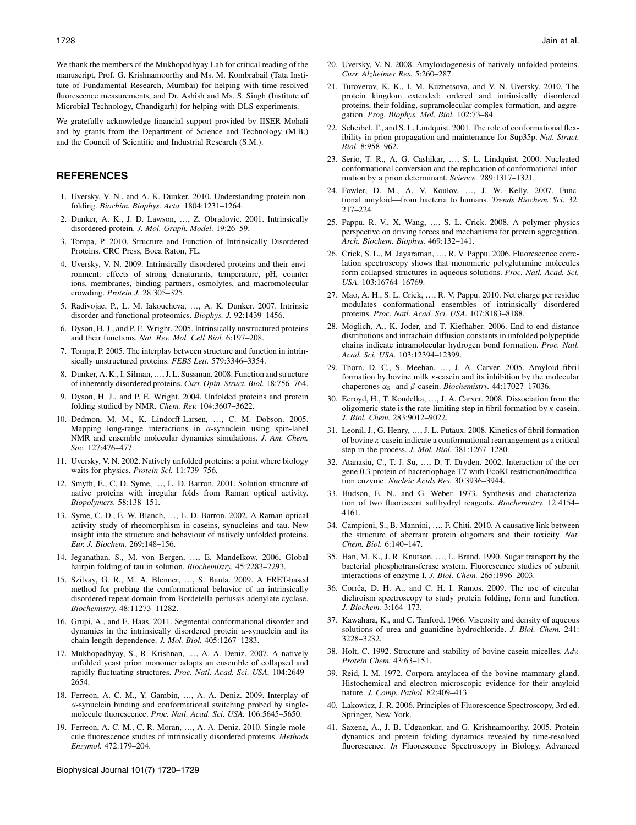We thank the members of the Mukhopadhyay Lab for critical reading of the manuscript, Prof. G. Krishnamoorthy and Ms. M. Kombrabail (Tata Institute of Fundamental Research, Mumbai) for helping with time-resolved fluorescence measurements, and Dr. Ashish and Ms. S. Singh (Institute of Microbial Technology, Chandigarh) for helping with DLS experiments.

We gratefully acknowledge financial support provided by IISER Mohali and by grants from the Department of Science and Technology (M.B.) and the Council of Scientific and Industrial Research (S.M.).

## REFERENCES

- 1. Uversky, V. N., and A. K. Dunker. 2010. Understanding protein nonfolding. Biochim. Biophys. Acta. 1804:1231–1264.
- 2. Dunker, A. K., J. D. Lawson, ..., Z. Obradovic. 2001. Intrinsically disordered protein. J. Mol. Graph. Model. 19:26–59.
- 3. Tompa, P. 2010. Structure and Function of Intrinsically Disordered Proteins. CRC Press, Boca Raton, FL.
- 4. Uversky, V. N. 2009. Intrinsically disordered proteins and their environment: effects of strong denaturants, temperature, pH, counter ions, membranes, binding partners, osmolytes, and macromolecular crowding. Protein J. 28:305–325.
- 5. Radivojac, P., L. M. Iakoucheva, ..., A. K. Dunker. 2007. Intrinsic disorder and functional proteomics. Biophys. J. 92:1439–1456.
- 6. Dyson, H. J., and P. E. Wright. 2005. Intrinsically unstructured proteins and their functions. Nat. Rev. Mol. Cell Biol. 6:197–208.
- 7. Tompa, P. 2005. The interplay between structure and function in intrinsically unstructured proteins. FEBS Lett. 579:3346–3354.
- 8. Dunker, A. K., I. Silman, ..., J. L. Sussman. 2008. Function and structure of inherently disordered proteins. Curr. Opin. Struct. Biol. 18:756–764.
- 9. Dyson, H. J., and P. E. Wright. 2004. Unfolded proteins and protein folding studied by NMR. Chem. Rev. 104:3607–3622.
- 10. Dedmon, M. M., K. Lindorff-Larsen, ..., C. M. Dobson. 2005. Mapping long-range interactions in  $\alpha$ -synuclein using spin-label NMR and ensemble molecular dynamics simulations. J. Am. Chem. Soc. 127:476–477.
- 11. Uversky, V. N. 2002. Natively unfolded proteins: a point where biology waits for physics. Protein Sci. 11:739–756.
- 12. Smyth, E., C. D. Syme, ..., L. D. Barron. 2001. Solution structure of native proteins with irregular folds from Raman optical activity. Biopolymers. 58:138–151.
- 13. Syme, C. D., E. W. Blanch, ., L. D. Barron. 2002. A Raman optical activity study of rheomorphism in caseins, synucleins and tau. New insight into the structure and behaviour of natively unfolded proteins. Eur. J. Biochem. 269:148–156.
- 14. Jeganathan, S., M. von Bergen, ..., E. Mandelkow. 2006. Global hairpin folding of tau in solution. Biochemistry. 45:2283–2293.
- 15. Szilvay, G. R., M. A. Blenner, ..., S. Banta. 2009. A FRET-based method for probing the conformational behavior of an intrinsically disordered repeat domain from Bordetella pertussis adenylate cyclase. Biochemistry. 48:11273–11282.
- 16. Grupi, A., and E. Haas. 2011. Segmental conformational disorder and dynamics in the intrinsically disordered protein  $\alpha$ -synuclein and its chain length dependence. J. Mol. Biol. 405:1267–1283.
- 17. Mukhopadhyay, S., R. Krishnan, ..., A. A. Deniz. 2007. A natively unfolded yeast prion monomer adopts an ensemble of collapsed and rapidly fluctuating structures. Proc. Natl. Acad. Sci. USA. 104:2649– 2654.
- 18. Ferreon, A. C. M., Y. Gambin, ..., A. A. Deniz. 2009. Interplay of  $\alpha$ -synuclein binding and conformational switching probed by singlemolecule fluorescence. Proc. Natl. Acad. Sci. USA. 106:5645–5650.
- 19. Ferreon, A. C. M., C. R. Moran, ..., A. A. Deniz. 2010. Single-molecule fluorescence studies of intrinsically disordered proteins. Methods Enzymol. 472:179–204.
- 20. Uversky, V. N. 2008. Amyloidogenesis of natively unfolded proteins. Curr. Alzheimer Res. 5:260–287.
- 21. Turoverov, K. K., I. M. Kuznetsova, and V. N. Uversky. 2010. The protein kingdom extended: ordered and intrinsically disordered proteins, their folding, supramolecular complex formation, and aggregation. Prog. Biophys. Mol. Biol. 102:73–84.
- 22. Scheibel, T., and S. L. Lindquist. 2001. The role of conformational flexibility in prion propagation and maintenance for Sup35p. Nat. Struct. Biol. 8:958–962.
- 23. Serio, T. R., A. G. Cashikar, ..., S. L. Lindquist. 2000. Nucleated conformational conversion and the replication of conformational information by a prion determinant. Science. 289:1317–1321.
- 24. Fowler, D. M., A. V. Koulov, ..., J. W. Kelly. 2007. Functional amyloid—from bacteria to humans. Trends Biochem. Sci. 32: 217–224.
- 25. Pappu, R. V., X. Wang, ., S. L. Crick. 2008. A polymer physics perspective on driving forces and mechanisms for protein aggregation. Arch. Biochem. Biophys. 469:132–141.
- 26. Crick, S. L., M. Jayaraman, ..., R. V. Pappu. 2006. Fluorescence correlation spectroscopy shows that monomeric polyglutamine molecules form collapsed structures in aqueous solutions. Proc. Natl. Acad. Sci. USA. 103:16764–16769.
- 27. Mao, A. H., S. L. Crick, ..., R. V. Pappu. 2010. Net charge per residue modulates conformational ensembles of intrinsically disordered proteins. Proc. Natl. Acad. Sci. USA. 107:8183–8188.
- 28. Möglich, A., K. Joder, and T. Kiefhaber. 2006. End-to-end distance distributions and intrachain diffusion constants in unfolded polypeptide chains indicate intramolecular hydrogen bond formation. Proc. Natl. Acad. Sci. USA. 103:12394–12399.
- 29. Thorn, D. C., S. Meehan, ..., J. A. Carver. 2005. Amyloid fibril formation by bovine milk  $\kappa$ -casein and its inhibition by the molecular chaperones  $\alpha_{S}$ - and  $\beta$ -casein. *Biochemistry*. 44:17027–17036.
- 30. Ecroyd, H., T. Koudelka, ., J. A. Carver. 2008. Dissociation from the oligomeric state is the rate-limiting step in fibril formation by  $\kappa$ -casein. J. Biol. Chem. 283:9012–9022.
- 31. Leonil, J., G. Henry, ., J. L. Putaux. 2008. Kinetics of fibril formation of bovine  $\kappa$ -casein indicate a conformational rearrangement as a critical step in the process. J. Mol. Biol. 381:1267–1280.
- 32. Atanasiu, C., T.-J. Su, ., D. T. Dryden. 2002. Interaction of the ocr gene 0.3 protein of bacteriophage T7 with EcoKI restriction/modification enzyme. Nucleic Acids Res. 30:3936–3944.
- 33. Hudson, E. N., and G. Weber. 1973. Synthesis and characterization of two fluorescent sulfhydryl reagents. Biochemistry. 12:4154– 4161.
- 34. Campioni, S., B. Mannini, ..., F. Chiti. 2010. A causative link between the structure of aberrant protein oligomers and their toxicity. Nat. Chem. Biol. 6:140–147.
- 35. Han, M. K., J. R. Knutson, ., L. Brand. 1990. Sugar transport by the bacterial phosphotransferase system. Fluorescence studies of subunit interactions of enzyme I. J. Biol. Chem. 265:1996–2003.
- 36. Corrêa, D. H. A., and C. H. I. Ramos. 2009. The use of circular dichroism spectroscopy to study protein folding, form and function. J. Biochem. 3:164–173.
- 37. Kawahara, K., and C. Tanford. 1966. Viscosity and density of aqueous solutions of urea and guanidine hydrochloride. J. Biol. Chem. 241: 3228–3232.
- 38. Holt, C. 1992. Structure and stability of bovine casein micelles. Adv. Protein Chem. 43:63–151.
- 39. Reid, I. M. 1972. Corpora amylacea of the bovine mammary gland. Histochemical and electron microscopic evidence for their amyloid nature. J. Comp. Pathol. 82:409–413.
- 40. Lakowicz, J. R. 2006. Principles of Fluorescence Spectroscopy, 3rd ed. Springer, New York.
- 41. Saxena, A., J. B. Udgaonkar, and G. Krishnamoorthy. 2005. Protein dynamics and protein folding dynamics revealed by time-resolved fluorescence. In Fluorescence Spectroscopy in Biology. Advanced